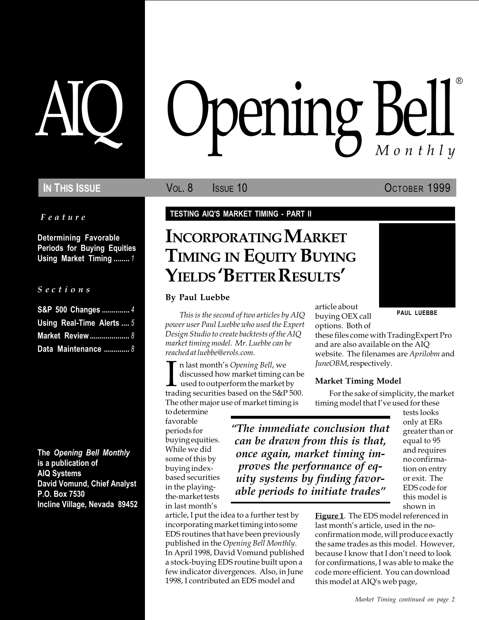Feature

Determining Favorable Periods for Buying Equities Using Market Timing ........ 1

#### S e c t i o n s

| S&P 500 Changes  4        |  |
|---------------------------|--|
| Using Real-Time Alerts  5 |  |
| <b>Market Review  8</b>   |  |
| Data Maintenance  8       |  |

The Opening Bell Monthly is a publication of AIQ Systems David Vomund, Chief Analyst P.O. Box 7530 Incline Village, Nevada 89452

# pening Bell ®

In This Issue **Vol. 8** Issue 10 OCTOBER 1999

TESTING AIQ'S MARKET TIMING - PART II

## INCORPORATING MARKET TIMING IN EQUITY BUYING YIELDS 'BETTER RESULTS'

#### By Paul Luebbe

This is the second of two articles by AIQ buying OEX call **PAUL LUEBBE** power user Paul Luebbe who used the Expert Design Studio to create backtests of the AIQ market timing model. Mr. Luebbe can be reached at luebbe@erols.com.

 $\prod_{\text{trace}}$ n last month's Opening Bell, we discussed how market timing can be used to outperform the market by trading securities based on the S&P 500. The other major use of market timing is

to determine favorable periods for buying equities. While we did some of this by buying indexbased securities in the playingthe-market tests in last month's

The immediate conclusion that can be drawn from this is that, once again, market timing improves the performance of equity systems by finding favorable periods to initiate trades

article, I put the idea to a further test by incorporating market timing into some EDS routines that have been previously published in the Opening Bell Monthly. In April 1998, David Vomund published a stock-buying EDS routine built upon a few indicator divergences. Also, in June 1998, I contributed an EDS model and

article about buying OEX call

options. Both of these files come with TradingExpert Pro and are also available on the AIQ website. The filenames are Aprilobm and JuneOBM, respectively.

### Market Timing Model

For the sake of simplicity, the market timing model that I've used for these

tests looks only at ERs greater than or equal to 95 and requires no confirmation on entry or exit. The EDS code for this model is shown in

Figure 1. The EDS model referenced in last month's article, used in the noconfirmation mode, will produce exactly the same trades as this model. However, because I know that I don't need to look for confirmations, I was able to make the code more efficient. You can download this model at AIQ's web page,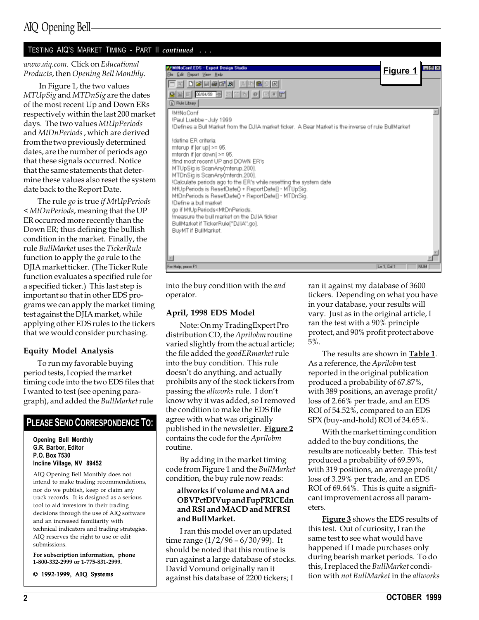#### TESTING AIQ'S MARKET TIMING - PART II continued . . .

www.aiq.com. Click on Educational Products, then Opening Bell Monthly.

 In Figure 1, the two values MTUpSig and MTDnSig are the dates of the most recent Up and Down ERs respectively within the last 200 market days. The two values MtUpPeriods and MtDnPeriods , which are derived from the two previously determined dates, are the number of periods ago that these signals occurred. Notice that the same statements that determine these values also reset the system date back to the Report Date.

The rule go is true *if MtUpPeriods* < MtDnPeriods, meaning that the UP ER occurred more recently than the Down ER; thus defining the bullish condition in the market. Finally, the rule BullMarket uses the TickerRule function to apply the go rule to the DJIA market ticker. (The Ticker Rule function evaluates a specified rule for a specified ticker.) This last step is important so that in other EDS programs we can apply the market timing test against the DJIA market, while applying other EDS rules to the tickers that we would consider purchasing.

#### Equity Model Analysis

To run my favorable buying period tests, I copied the market timing code into the two EDS files that I wanted to test (see opening paragraph), and added the BullMarket rule

#### PLEASE SEND CORRESPONDENCE TO:

#### Opening Bell Monthly G.R. Barbor, Editor P.O. Box 7530 Incline Village, NV 89452

AIQ Opening Bell Monthly does not intend to make trading recommendations, nor do we publish, keep or claim any track records. It is designed as a serious tool to aid investors in their trading decisions through the use of AIQ software and an increased familiarity with technical indicators and trading strategies. AIQ reserves the right to use or edit submissions.

For subscription information, phone 1-800-332-2999 or 1-775-831-2999.

© 1992-1999, AIQ Systems

| <b>MiNoCont.EDS - Expert Design Studio</b><br>Elle Edit Bepart View Help                                                                                                                                                                                                                                                                                                                                                                                                                                                                                                                                                                                                                                                               | Figure 1    | $-6x$      |
|----------------------------------------------------------------------------------------------------------------------------------------------------------------------------------------------------------------------------------------------------------------------------------------------------------------------------------------------------------------------------------------------------------------------------------------------------------------------------------------------------------------------------------------------------------------------------------------------------------------------------------------------------------------------------------------------------------------------------------------|-------------|------------|
| SE GOVS SMAS O GET<br><b>D</b> Rule Library                                                                                                                                                                                                                                                                                                                                                                                                                                                                                                                                                                                                                                                                                            |             |            |
| <b>IM#NoConf</b><br>!Paul Luebbe - July 1999<br>Defines a Bull Market from the DJIA market ticker. A Bear Market is the inverse of rule BullMarket!!<br>Idefine ER criteria<br>mterup if [er up] >= 95.<br>mterdn if [er down] >= 95.<br>lfind most recent UP and DOWN ER's<br>MTUpSig is ScanAny(mferup.200).<br>MTDnSig is ScanAny(mferdn.200).<br>!Calculate periods ago to the ER's while resetting the system date<br>MtUpPeriods is ResetDate() + ReportDate[] - MTUpSig.<br>MtDnPeriods is ResetDate() + ReportDate[] - MTDnSig.<br>!Define a bull market<br>go if MtUpPeriods <mtdnperiods.<br>Imeasure the bull market on the DJIA ficker<br/>BullMarket if TickerRule["DJIA".go].<br/>BuyMT if BullMarket.</mtdnperiods.<br> |             |            |
| $\vert$                                                                                                                                                                                                                                                                                                                                                                                                                                                                                                                                                                                                                                                                                                                                |             |            |
| For Help, peace F1                                                                                                                                                                                                                                                                                                                                                                                                                                                                                                                                                                                                                                                                                                                     | Ln 1, Cal 1 | <b>NUM</b> |

into the buy condition with the and operator.

#### April, 1998 EDS Model

Note: On my TradingExpert Pro distribution CD, the Aprilobm routine varied slightly from the actual article; the file added the goodERmarket rule into the buy condition. This rule doesn't do anything, and actually prohibits any of the stock tickers from passing the allworks rule. I don't know why it was added, so I removed the condition to make the EDS file agree with what was originally published in the newsletter. Figure 2 contains the code for the Aprilobm routine.

By adding in the market timing code from Figure 1 and the BullMarket condition, the buy rule now reads:

#### allworks if volume and MA and OBVPctDIVup and FupPRICEdn and RSI and MACD and MFRSI and BullMarket.

I ran this model over an updated time range  $(1/2/96 - 6/30/99)$ . It should be noted that this routine is run against a large database of stocks. David Vomund originally ran it against his database of 2200 tickers; I

ran it against my database of 3600 tickers. Depending on what you have in your database, your results will vary. Just as in the original article, I ran the test with a 90% principle protect, and 90% profit protect above 5%.

The results are shown in **Table 1**. As a reference, the Aprilobm test reported in the original publication produced a probability of 67.87%, with 389 positions, an average profit/ loss of 2.66% per trade, and an EDS ROI of 54.52%, compared to an EDS SPX (buy-and-hold) ROI of 34.65%.

With the market timing condition added to the buy conditions, the results are noticeably better. This test produced a probability of 69.59%, with 319 positions, an average profit/ loss of 3.29% per trade, and an EDS ROI of 69.64%. This is quite a significant improvement across all parameters.

Figure 3 shows the EDS results of this test. Out of curiosity, I ran the same test to see what would have happened if I made purchases only during bearish market periods. To do this, I replaced the BullMarket condition with not BullMarket in the allworks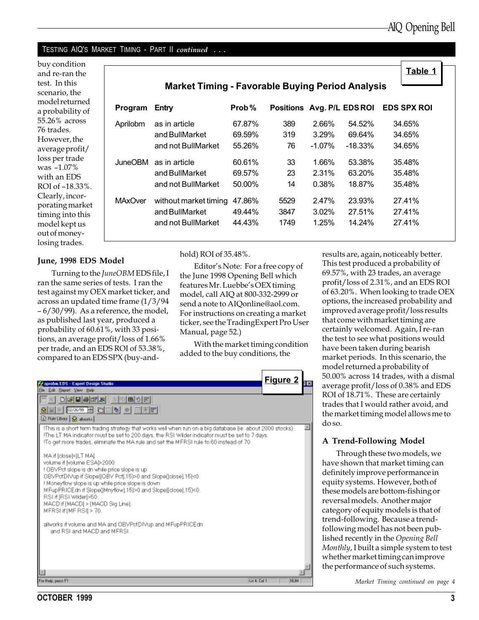#### TESTING AIQ'S MARKET TIMING - PART II continued . . .

buy condition and re-ran the test. In this scenario, the model returned a probability of 55.26% across 76 trades. However, the average profit/ loss per trade was  $-1.07\%$ with an EDS ROI of -18.33% Clearly, incorporating marke timing into this model kept us out of moneylosing trades.

|                       | <b>Market Timing - Favorable Buying Period Analysis</b> |        |                            |           |            |                    |
|-----------------------|---------------------------------------------------------|--------|----------------------------|-----------|------------|--------------------|
| Program               | Entry                                                   | Prob%  | Positions Avg. P/L EDS ROI |           |            | <b>EDS SPX ROI</b> |
| Aprilobm              | as in article                                           | 67.87% | 389                        | 2.66%     | 54.52%     | 34.65%             |
|                       | and BullMarket                                          | 69.59% | 319                        | $3.29\%$  | 69.64%     | 34.65%             |
|                       | and not BullMarket                                      | 55.26% | 76                         | $-1.07\%$ | $-18.33\%$ | 34.65%             |
| JuneOBM as in article |                                                         | 60.61% | 33                         | $1.66\%$  | 53.38%     | 35.48%             |
|                       | and BullMarket                                          | 69.57% | 23                         | $2.31\%$  | 63.20%     | 35.48%             |
|                       | and not BullMarket                                      | 50.00% | 14                         | 0.38%     | 18.87%     | 35.48%             |
| <b>MAxOver</b>        | without market timing                                   | 47.86% | 5529                       | 2.47%     | 23.93%     | 27.41%             |
|                       | and BullMarket                                          | 49.44% | 3847                       | $3.02\%$  | 27.51%     | 27.41%             |
|                       | and not BullMarket                                      | 44.43% | 1749                       | 1.25%     | 14.24%     | 27.41%             |

#### June, 1998 EDS Model

Turning to the JuneOBM EDS file, I ran the same series of tests. I ran the test against my OEX market ticker, and across an updated time frame (1/3/94 6/30/99). As a reference, the model, as published last year, produced a probability of 60.61%, with 33 positions, an average profit/loss of 1.66% per trade, and an EDS ROI of 53.38%, compared to an EDS SPX (buy-and-

#### hold) ROI of 35.48%.

Editor's Note: For a free copy of the June 1998 Opening Bell which features Mr. Luebbe's OEX timing model, call AIQ at 800-332-2999 or send a note to AIQonline@aol.com. For instructions on creating a market ticker, see the TradingExpert Pro User Manual, page 52.)

With the market timing condition added to the buy conditions, the



results are, again, noticeably better. This test produced a probability of 69.57%, with 23 trades, an average profit/loss of 2.31%, and an EDS ROI of 63.20%. When looking to trade OEX options, the increased probability and improved average profit/loss results that come with market timing are certainly welcomed. Again, I re-ran the test to see what positions would have been taken during bearish market periods. In this scenario, the model returned a probability of 50.00% across 14 trades, with a dismal average profit/loss of 0.38% and EDS ROI of 18.71%. These are certainly trades that I would rather avoid, and the market timing model allows me to do so.

#### A Trend-Following Model

Through these two models, we have shown that market timing can definitely improve performance in equity systems. However, both of these models are bottom-fishing or reversal models. Another major category of equity models is that of trend-following. Because a trendfollowing model has not been published recently in the Opening Bell Monthly, I built a simple system to test whether market timing can improve the performance of such systems.

Market Timing continued on page 4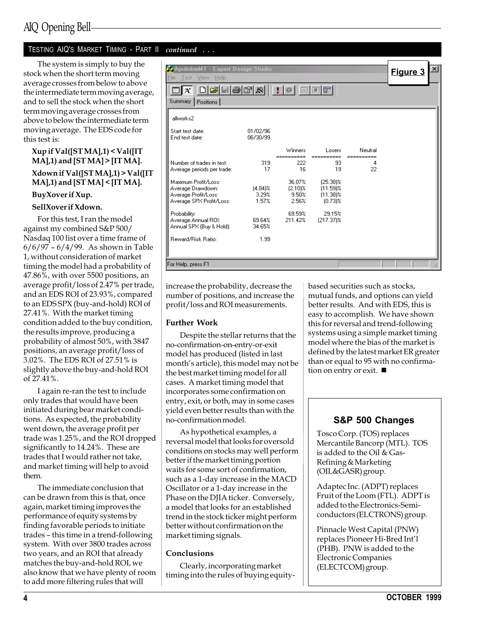### TESTING AIQ'S MARKET TIMING - PART II continued . . .

The system is simply to buy the stock when the short term moving average crosses from below to above the intermediate term moving average, and to sell the stock when the short term moving average crosses from above to below the intermediate term moving average. The EDS code for this test is:

#### Xup if Val([ST MA],1) < Val([IT  $MA$ ], 1) and  $[STMA]$  >  $[ITMA]$ . Xdown if Val([ST MA],1) > Val([IT  $MA$ ],1) and  $[STMA]$  <  $[ITMA]$ .

#### BuyXover if Xup.

#### SellXover if Xdown.

For this test, I ran the model against my combined S&P 500/ Nasdaq 100 list over a time frame of  $6/6/97 - 6/4/99$ . As shown in Table 1, without consideration of market timing the model had a probability of 47.86%, with over 5500 positions, an average profit/loss of 2.47% per trade, and an EDS ROI of 23.93%, compared to an EDS SPX (buy-and-hold) ROI of 27.41%. With the market timing condition added to the buy condition, the results improve, producing a probability of almost 50%, with 3847 positions, an average profit/loss of 3.02%. The EDS ROI of 27.51% is slightly above the buy-and-hold ROI of 27.41%.

I again re-ran the test to include only trades that would have been initiated during bear market conditions. As expected, the probability went down, the average profit per trade was 1.25%, and the ROI dropped significantly to 14.24%. These are trades that I would rather not take, and market timing will help to avoid them.

The immediate conclusion that can be drawn from this is that, once again, market timing improves the performance of equity systems by finding favorable periods to initiate trades - this time in a trend-following system. With over 3800 trades across two years, and an ROI that already matches the buy-and-hold ROI, we also know that we have plenty of room to add more filtering rules that will

| AprilobmMT - Expert Design Studio<br>File<br><b>View</b><br><b>Help</b><br>Test                                                                                   |                              |                                        |                                                      |                       | ×l<br>Figure 3 |  |
|-------------------------------------------------------------------------------------------------------------------------------------------------------------------|------------------------------|----------------------------------------|------------------------------------------------------|-----------------------|----------------|--|
| $\blacksquare$ : $\blacksquare$ $\blacksquare$ $\blacksquare$ $\blacksquare$ $\blacksquare$<br>$\Box$ $\Xi$ $\Xi$ $\Xi$ $\Xi$ $\Xi$<br>At<br>Summary<br>Positions |                              |                                        |                                                      |                       |                |  |
| allworks2                                                                                                                                                         |                              |                                        |                                                      |                       |                |  |
| Start test date:<br>End test date:                                                                                                                                | 01/02/96<br>06/30/99         |                                        |                                                      |                       |                |  |
|                                                                                                                                                                   |                              | Winners                                | Losers                                               | Neutral<br>========== |                |  |
| Number of trades in test:<br>Average periods per trade:                                                                                                           | 319<br>17                    | 222<br>16                              | 93<br>19                                             | 4<br>22               |                |  |
| Maximum Profit/Loss:<br>Average Drawdown:<br>Average Profit/Loss:<br>Average SPX Profit/Loss:                                                                     | $[4.84]$ %<br>3.29%<br>1.57% | 36.07%<br>$(2.10)$ %<br>9.50%<br>2.56% | (25.38)%<br>$(11.59)$ %<br>$(11.38)$ %<br>$(0.73)$ % |                       |                |  |
| Probability:<br>Average Annual ROI:<br>Annual SPX (Buy & Hold):                                                                                                   | 69.64%<br>34.65%             | 69.59%<br>211.42%                      | 29.15%<br>(217.37)%                                  |                       |                |  |
| Reward/Risk Ratio:                                                                                                                                                | 1.99                         |                                        |                                                      |                       |                |  |
| For Help, press F1                                                                                                                                                |                              |                                        |                                                      |                       |                |  |

increase the probability, decrease the number of positions, and increase the profit/loss and ROI measurements.

#### Further Work

Despite the stellar returns that the no-confirmation-on-entry-or-exit model has produced (listed in last month's article), this model may not be the best market timing model for all cases. A market timing model that incorporates some confirmation on entry, exit, or both, may in some cases yield even better results than with the no-confirmation model.

As hypothetical examples, a reversal model that looks for oversold conditions on stocks may well perform better if the market timing portion waits for some sort of confirmation, such as a 1-day increase in the MACD Oscillator or a 1-day increase in the Phase on the DJIA ticker. Conversely, a model that looks for an established trend in the stock ticker might perform better without confirmation on the market timing signals.

#### Conclusions

Clearly, incorporating market timing into the rules of buying equitybased securities such as stocks, mutual funds, and options can yield better results. And with EDS, this is easy to accomplish. We have shown this for reversal and trend-following systems using a simple market timing model where the bias of the market is defined by the latest market ER greater than or equal to 95 with no confirmation on entry or exit.  $\blacksquare$ 

### S&P 500 Changes

Tosco Corp. (TOS) replaces Mercantile Bancorp (MTL). TOS is added to the Oil & Gas-Refining & Marketing (OIL&GASR) group.

Adaptec Inc. (ADPT) replaces Fruit of the Loom (FTL). ADPT is added to the Electronics-Semiconductors (ELCTRONS) group.

Pinnacle West Capital (PNW) replaces Pioneer Hi-Bred Int'l (PHB). PNW is added to the Electronic Companies (ELECTCOM) group.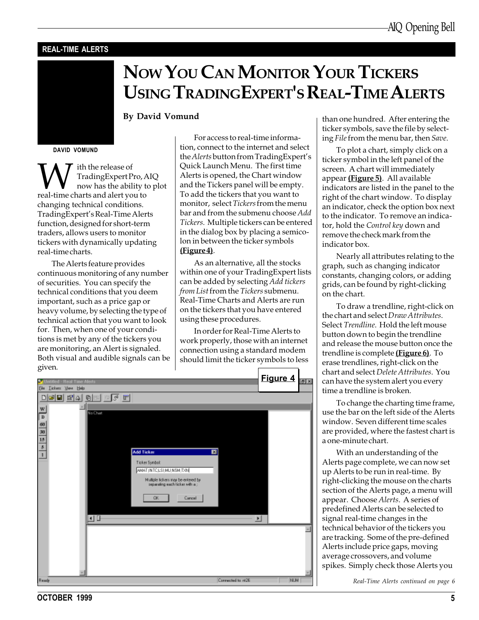#### REAL-TIME ALERTS

# NOW YOU CAN MONITOR YOUR TICKERS USING TRADINGEXPERT'S REAL-TIME ALERTS

#### By David Vomund

DAVID VOMUND

W ith the release of<br>TradingExpert Pro, A<br>real-time charts and alert you to TradingExpert Pro, AIQ now has the ability to plot changing technical conditions. TradingExpert's Real-Time Alerts function, designed for short-term traders, allows users to monitor tickers with dynamically updating real-time charts.

The Alerts feature provides continuous monitoring of any number of securities. You can specify the technical conditions that you deem important, such as a price gap or heavy volume, by selecting the type of technical action that you want to look for. Then, when one of your conditions is met by any of the tickers you are monitoring, an Alert is signaled. Both visual and audible signals can be given.

For access to real-time information, connect to the internet and select the Alerts button from TradingExpert's Quick Launch Menu. The first time Alerts is opened, the Chart window and the Tickers panel will be empty. To add the tickers that you want to monitor, select Tickers from the menu bar and from the submenu choose Add Tickers. Multiple tickers can be entered in the dialog box by placing a semicolon in between the ticker symbols (Figure 4).

As an alternative, all the stocks within one of your TradingExpert lists can be added by selecting Add tickers from List from the Tickers submenu. Real-Time Charts and Alerts are run on the tickers that you have entered using these procedures.

In order for Real-Time Alerts to work properly, those with an internet connection using a standard modem should limit the ticker symbols to less



than one hundred. After entering the ticker symbols, save the file by selecting File from the menu bar, then Save.

To plot a chart, simply click on a ticker symbol in the left panel of the screen. A chart will immediately appear (Figure 5). All available indicators are listed in the panel to the right of the chart window. To display an indicator, check the option box next to the indicator. To remove an indicator, hold the Control key down and remove the check mark from the indicator box.

Nearly all attributes relating to the graph, such as changing indicator constants, changing colors, or adding grids, can be found by right-clicking on the chart.

To draw a trendline, right-click on the chart and select Draw Attributes. Select Trendline. Hold the left mouse button down to begin the trendline and release the mouse button once the trendline is complete (Figure 6). To erase trendlines, right-click on the chart and select Delete Attributes. You can have the system alert you every time a trendline is broken.

To change the charting time frame, use the bar on the left side of the Alerts window. Seven different time scales are provided, where the fastest chart is a one-minute chart.

With an understanding of the Alerts page complete, we can now set up Alerts to be run in real-time. By right-clicking the mouse on the charts section of the Alerts page, a menu will appear. Choose Alerts. A series of predefined Alerts can be selected to signal real-time changes in the technical behavior of the tickers you are tracking. Some of the pre-defined Alerts include price gaps, moving average crossovers, and volume spikes. Simply check those Alerts you

Real-Time Alerts continued on page 6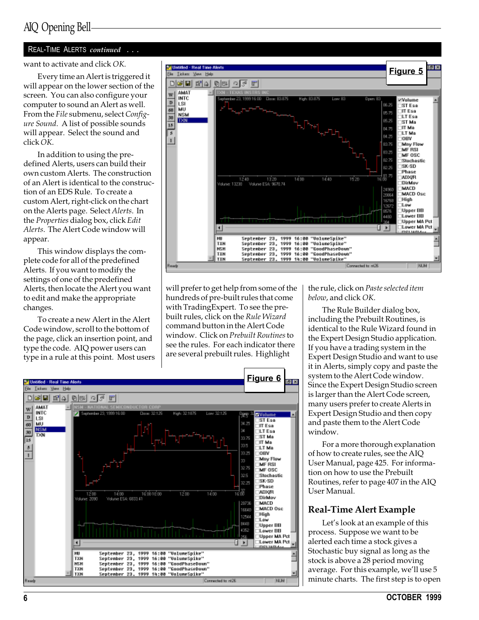## AIQ Opening Bell

#### REAL-TIME ALERTS continued . . .

want to activate and click OK.

Every time an Alert is triggered it will appear on the lower section of the screen. You can also configure your computer to sound an Alert as well. From the File submenu, select Configure Sound. A list of possible sounds will appear. Select the sound and click OK.

In addition to using the predefined Alerts, users can build their own custom Alerts. The construction of an Alert is identical to the construction of an EDS Rule. To create a custom Alert, right-click on the chart on the Alerts page. Select Alerts. In the Properties dialog box, click Edit Alerts. The Alert Code window will appear.

This window displays the complete code for all of the predefined Alerts. If you want to modify the settings of one of the predefined Alerts, then locate the Alert you want to edit and make the appropriate changes.

To create a new Alert in the Alert Code window, scroll to the bottom of the page, click an insertion point, and type the code. AIQ power users can type in a rule at this point. Most users



will prefer to get help from some of the hundreds of pre-built rules that come with TradingExpert. To see the prebuilt rules, click on the Rule Wizard command button in the Alert Code window. Click on Prebuilt Routines to see the rules. For each indicator there are several prebuilt rules. Highlight



the rule, click on Paste selected item below, and click OK.

The Rule Builder dialog box, including the Prebuilt Routines, is identical to the Rule Wizard found in the Expert Design Studio application. If you have a trading system in the Expert Design Studio and want to use it in Alerts, simply copy and paste the system to the Alert Code window. Since the Expert Design Studio screen is larger than the Alert Code screen, many users prefer to create Alerts in Expert Design Studio and then copy and paste them to the Alert Code window.

For a more thorough explanation of how to create rules, see the AIQ User Manual, page 425. For information on how to use the Prebuilt Routines, refer to page 407 in the AIQ User Manual.

#### Real-Time Alert Example

Let's look at an example of this process. Suppose we want to be alerted each time a stock gives a Stochastic buy signal as long as the stock is above a 28 period moving average. For this example, we'll use 5 minute charts. The first step is to open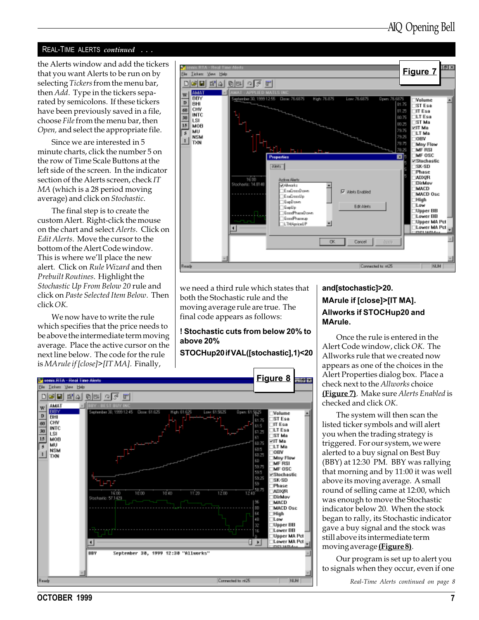#### REAL-TIME ALERTS continued . . .

the Alerts window and add the tickers that you want Alerts to be run on by selecting Tickers from the menu bar, then *Add*. Type in the tickers separated by semicolons. If these tickers have been previously saved in a file, choose File from the menu bar, then Open, and select the appropriate file.

Since we are interested in 5 minute charts, click the number 5 on the row of Time Scale Buttons at the left side of the screen. In the indicator section of the Alerts screen, check IT MA (which is a 28 period moving average) and click on Stochastic.

The final step is to create the custom Alert. Right-click the mouse on the chart and select Alerts. Click on Edit Alerts. Move the cursor to the bottom of the Alert Code window. This is where we'll place the new alert. Click on Rule Wizard and then Prebuilt Routines. Highlight the Stochastic Up From Below 20 rule and click on Paste Selected Item Below. Then  $click$   $OK$ 

We now have to write the rule which specifies that the price needs to be above the intermediate term moving average. Place the active cursor on the next line below. The code for the rule is MArule if [close]>[IT MA]. Finally,



we need a third rule which states that both the Stochastic rule and the moving average rule are true. The final code appears as follows:

#### ! Stochastic cuts from below 20% to above 20%

#### STOCHup20 if VAL([stochastic],1)<20



### and[stochastic]>20. MArule if [close]>[IT MA]. Allworks if STOCHup20 and MArule.

Once the rule is entered in the Alert Code window, click OK. The Allworks rule that we created now appears as one of the choices in the Alert Properties dialog box. Place a check next to the Allworks choice (Figure 7). Make sure Alerts Enabled is checked and click OK.

The system will then scan the listed ticker symbols and will alert you when the trading strategy is triggered. For our system, we were alerted to a buy signal on Best Buy (BBY) at 12:30 PM. BBY was rallying that morning and by 11:00 it was well above its moving average. A small round of selling came at 12:00, which was enough to move the Stochastic indicator below 20. When the stock began to rally, its Stochastic indicator gave a buy signal and the stock was still above its intermediate term moving average (Figure 8).

Our program is set up to alert you to signals when they occur, even if one

Real-Time Alerts continued on page 8